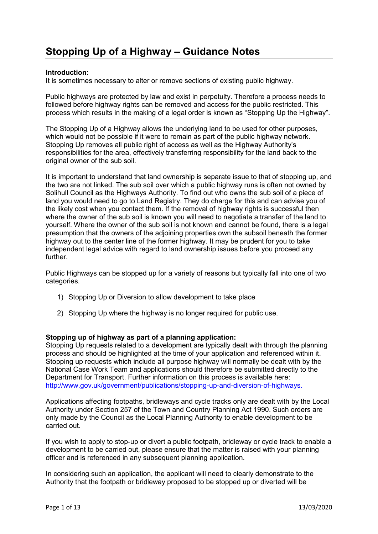# **Stopping Up of a Highway – Guidance Notes**

#### **Introduction:**

It is sometimes necessary to alter or remove sections of existing public highway.

Public highways are protected by law and exist in perpetuity. Therefore a process needs to followed before highway rights can be removed and access for the public restricted. This process which results in the making of a legal order is known as "Stopping Up the Highway".

The Stopping Up of a Highway allows the underlying land to be used for other purposes, which would not be possible if it were to remain as part of the public highway network. Stopping Up removes all public right of access as well as the Highway Authority's responsibilities for the area, effectively transferring responsibility for the land back to the original owner of the sub soil.

It is important to understand that land ownership is separate issue to that of stopping up, and the two are not linked. The sub soil over which a public highway runs is often not owned by Solihull Council as the Highways Authority. To find out who owns the sub soil of a piece of land you would need to go to Land Registry. They do charge for this and can advise you of the likely cost when you contact them. If the removal of highway rights is successful then where the owner of the sub soil is known you will need to negotiate a transfer of the land to yourself. Where the owner of the sub soil is not known and cannot be found, there is a legal presumption that the owners of the adjoining properties own the subsoil beneath the former highway out to the center line of the former highway. It may be prudent for you to take independent legal advice with regard to land ownership issues before you proceed any further.

Public Highways can be stopped up for a variety of reasons but typically fall into one of two categories.

- 1) Stopping Up or Diversion to allow development to take place
- 2) Stopping Up where the highway is no longer required for public use.

#### **Stopping up of highway as part of a planning application:**

Stopping Up requests related to a development are typically dealt with through the planning process and should be highlighted at the time of your application and referenced within it. Stopping up requests which include all purpose highway will normally be dealt with by the National Case Work Team and applications should therefore be submitted directly to the Department for Transport. Further information on this process is available here: [http://www.gov.uk/government/publications/stopping-up-and-diversion-of-highways.](http://www.gov.uk/government/publications/stopping-up-and-diversion-of-highways)

Applications affecting footpaths, bridleways and cycle tracks only are dealt with by the Local Authority under Section 257 of the Town and Country Planning Act 1990. Such orders are only made by the Council as the Local Planning Authority to enable development to be carried out.

If you wish to apply to stop-up or divert a public footpath, bridleway or cycle track to enable a development to be carried out, please ensure that the matter is raised with your planning officer and is referenced in any subsequent planning application.

In considering such an application, the applicant will need to clearly demonstrate to the Authority that the footpath or bridleway proposed to be stopped up or diverted will be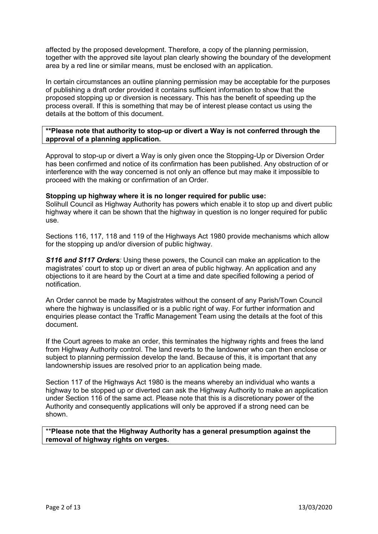affected by the proposed development. Therefore, a copy of the planning permission, together with the approved site layout plan clearly showing the boundary of the development area by a red line or similar means, must be enclosed with an application.

In certain circumstances an outline planning permission may be acceptable for the purposes of publishing a draft order provided it contains sufficient information to show that the proposed stopping up or diversion is necessary. This has the benefit of speeding up the process overall. If this is something that may be of interest please contact us using the details at the bottom of this document.

#### **\*\*Please note that authority to stop-up or divert a Way is not conferred through the approval of a planning application.**

Approval to stop-up or divert a Way is only given once the Stopping-Up or Diversion Order has been confirmed and notice of its confirmation has been published. Any obstruction of or interference with the way concerned is not only an offence but may make it impossible to proceed with the making or confirmation of an Order.

#### **Stopping up highway where it is no longer required for public use:**

Solihull Council as Highway Authority has powers which enable it to stop up and divert public highway where it can be shown that the highway in question is no longer required for public use.

Sections 116, 117, 118 and 119 of the Highways Act 1980 provide mechanisms which allow for the stopping up and/or diversion of public highway.

**S116 and S117 Orders**: Using these powers, the Council can make an application to the magistrates' court to stop up or divert an area of public highway. An application and any objections to it are heard by the Court at a time and date specified following a period of notification.

An Order cannot be made by Magistrates without the consent of any Parish/Town Council where the highway is unclassified or is a public right of way. For further information and enquiries please contact the Traffic Management Team using the details at the foot of this document.

If the Court agrees to make an order, this terminates the highway rights and frees the land from Highway Authority control. The land reverts to the landowner who can then enclose or subject to planning permission develop the land. Because of this, it is important that any landownership issues are resolved prior to an application being made.

Section 117 of the Highways Act 1980 is the means whereby an individual who wants a highway to be stopped up or diverted can ask the Highway Authority to make an application under Section 116 of the same act. Please note that this is a discretionary power of the Authority and consequently applications will only be approved if a strong need can be shown.

\*\***Please note that the Highway Authority has a general presumption against the removal of highway rights on verges.**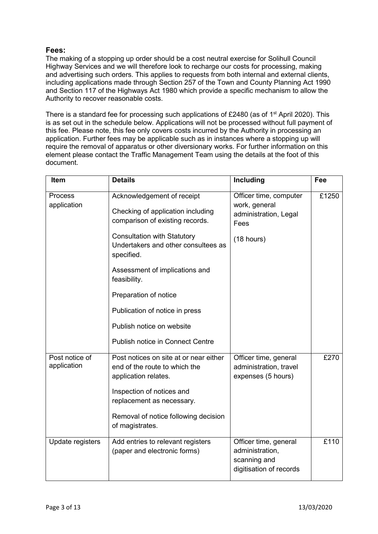## **Fees:**

The making of a stopping up order should be a cost neutral exercise for Solihull Council Highway Services and we will therefore look to recharge our costs for processing, making and advertising such orders. This applies to requests from both internal and external clients, including applications made through Section 257 of the Town and County Planning Act 1990 and Section 117 of the Highways Act 1980 which provide a specific mechanism to allow the Authority to recover reasonable costs.

There is a standard fee for processing such applications of £2480 (as of 1<sup>st</sup> April 2020). This is as set out in the schedule below. Applications will not be processed without full payment of this fee. Please note, this fee only covers costs incurred by the Authority in processing an application. Further fees may be applicable such as in instances where a stopping up will require the removal of apparatus or other diversionary works. For further information on this element please contact the Traffic Management Team using the details at the foot of this document.

| <b>Item</b>                   | <b>Details</b>                                                                                                                                                                                                                                                           | <b>Including</b>                                                                       | Fee   |
|-------------------------------|--------------------------------------------------------------------------------------------------------------------------------------------------------------------------------------------------------------------------------------------------------------------------|----------------------------------------------------------------------------------------|-------|
| <b>Process</b><br>application | Acknowledgement of receipt<br>Checking of application including<br>comparison of existing records.<br><b>Consultation with Statutory</b><br>Undertakers and other consultees as<br>specified.<br>Assessment of implications and<br>feasibility.<br>Preparation of notice | Officer time, computer<br>work, general<br>administration, Legal<br>Fees<br>(18 hours) | £1250 |
|                               | Publication of notice in press<br>Publish notice on website<br><b>Publish notice in Connect Centre</b>                                                                                                                                                                   |                                                                                        |       |
| Post notice of<br>application | Post notices on site at or near either<br>end of the route to which the<br>application relates.<br>Inspection of notices and<br>replacement as necessary.<br>Removal of notice following decision<br>of magistrates.                                                     | Officer time, general<br>administration, travel<br>expenses (5 hours)                  | £270  |
| Update registers              | Add entries to relevant registers<br>(paper and electronic forms)                                                                                                                                                                                                        | Officer time, general<br>administration,<br>scanning and<br>digitisation of records    | £110  |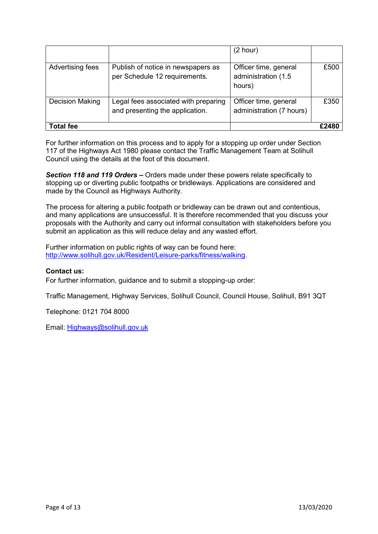|                        |                                                                         | (2 hour)                                               |       |
|------------------------|-------------------------------------------------------------------------|--------------------------------------------------------|-------|
| Advertising fees       | Publish of notice in newspapers as<br>per Schedule 12 requirements.     | Officer time, general<br>administration (1.5<br>hours) | £500  |
| <b>Decision Making</b> | Legal fees associated with preparing<br>and presenting the application. | Officer time, general<br>administration (7 hours)      | £350  |
| <b>Total fee</b>       |                                                                         |                                                        | £2480 |

For further information on this process and to apply for a stopping up order under Section 117 of the Highways Act 1980 please contact the Traffic Management Team at Solihull Council using the details at the foot of this document.

*Section 118 and 119 Orders –* Orders made under these powers relate specifically to stopping up or diverting public footpaths or bridleways. Applications are considered and made by the Council as Highways Authority.

The process for altering a public footpath or bridleway can be drawn out and contentious, and many applications are unsuccessful. It is therefore recommended that you discuss your proposals with the Authority and carry out informal consultation with stakeholders before you submit an application as this will reduce delay and any wasted effort.

Further information on public rights of way can be found here: [http://www.solihull.gov.uk/Resident/Leisure-parks/fitness/walking.](http://www.solihull.gov.uk/Resident/Leisure-parks/fitness/walking)

## **Contact us:**

For further information, guidance and to submit a stopping-up order:

Traffic Management, Highway Services, Solihull Council, Council House, Solihull, B91 3QT

Telephone: 0121 704 8000

Email: [Highways@solihull.gov.uk](mailto:Highways@solihull.gov.uk)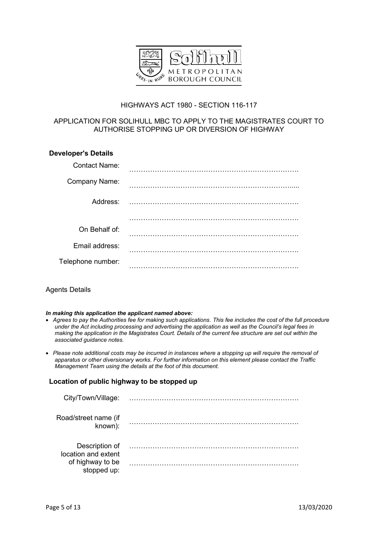

## HIGHWAYS ACT 1980 - SECTION 116-117

## APPLICATION FOR SOLIHULL MBC TO APPLY TO THE MAGISTRATES COURT TO AUTHORISE STOPPING UP OR DIVERSION OF HIGHWAY

| <b>Developer's Details</b> |  |
|----------------------------|--|
| <b>Contact Name:</b>       |  |
| Company Name:              |  |
| Address:                   |  |
|                            |  |
| On Behalf of:              |  |
| Email address:             |  |
| Telephone number:          |  |

## Agents Details

#### *In making this application the applicant named above:*

- *Agrees to pay the Authorities fee for making such applications. This fee includes the cost of the full procedure under the Act including processing and advertising the application as well as the Council's legal fees in making the application in the Magistrates Court. Details of the current fee structure are set out within the associated guidance notes.*
- *Please note additional costs may be incurred in instances where a stopping up will require the removal of apparatus or other diversionary works. For further information on this element please contact the Traffic Management Team using the details at the foot of this document.*

#### **Location of public highway to be stopped up**

| City/Town/Village:                    |  |
|---------------------------------------|--|
| Road/street name (if<br>known):       |  |
| Description of<br>location and extent |  |
| of highway to be<br>stopped up:       |  |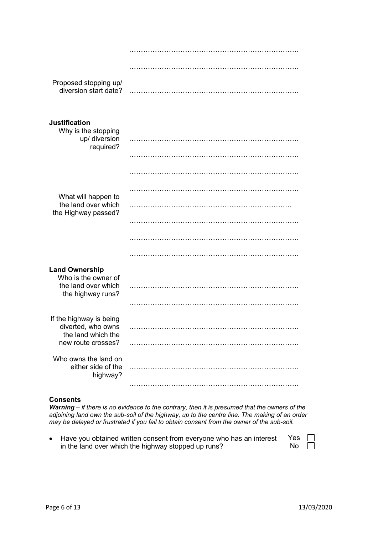| Proposed stopping up/<br>diversion start date?    |   |
|---------------------------------------------------|---|
| <b>Justification</b>                              |   |
| Why is the stopping<br>up/ diversion<br>required? |   |
|                                                   |   |
|                                                   |   |
| What will happen to                               | . |
| the land over which<br>the Highway passed?        |   |
|                                                   |   |
|                                                   |   |
|                                                   |   |
| <b>Land Ownership</b><br>Who is the owner of      |   |
| the land over which<br>the highway runs?          |   |
|                                                   |   |
| If the highway is being<br>diverted, who owns     |   |
| the land which the<br>new route crosses?          |   |
| Who owns the land on                              |   |
| either side of the<br>highway?                    |   |
|                                                   |   |

#### **Consents**

*Warning – if there is no evidence to the contrary, then it is presumed that the owners of the adjoining land own the sub-soil of the highway, up to the centre line. The making of an order may be delayed or frustrated if you fail to obtain consent from the owner of the sub-soil.*

 Have you obtained written consent from everyone who has an interest in the land over which the highway stopped up runs? Yes No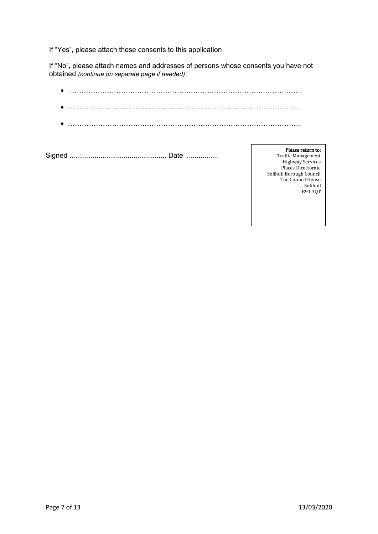If "Yes", please attach these consents to this application

If "No", please attach names and addresses of persons whose consents you have not obtained *(continue on separate page if needed)*:

Signed .................................................. Date .................

Please return to: Traffic Management Highway Services Places Directorate Solihull Borough Council The Council House Solihull B91 3QT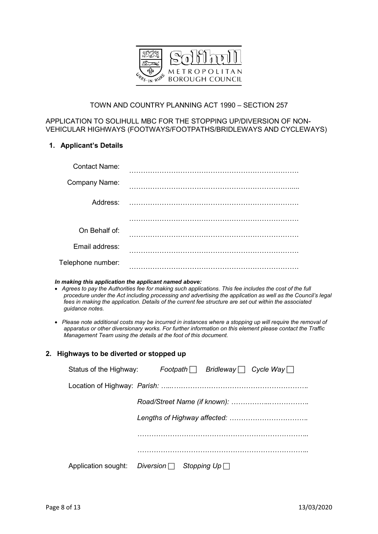

## TOWN AND COUNTRY PLANNING ACT 1990 – SECTION 257

## APPLICATION TO SOLIHULL MBC FOR THE STOPPING UP/DIVERSION OF NON-VEHICULAR HIGHWAYS (FOOTWAYS/FOOTPATHS/BRIDLEWAYS AND CYCLEWAYS)

## **1. Applicant's Details**

| <b>Contact Name:</b> |               |
|----------------------|---------------|
| Company Name:        |               |
| Address:             | $\sim$ 111111 |
|                      |               |
| On Behalf of:        |               |
| Email address:       |               |
| Telephone number:    |               |

#### *In making this application the applicant named above:*

- *Agrees to pay the Authorities fee for making such applications. This fee includes the cost of the full procedure under the Act including processing and advertising the application as well as the Council's legal fees in making the application. Details of the current fee structure are set out within the associated guidance notes.*
- *Please note additional costs may be incurred in instances where a stopping up will require the removal of apparatus or other diversionary works. For further information on this element please contact the Traffic Management Team using the details at the foot of this document.*

## **2. Highways to be diverted or stopped up**

| Status of the Highway: Footpath $\Box$ Bridleway $\Box$ Cycle Way $\Box$ |
|--------------------------------------------------------------------------|
|                                                                          |
|                                                                          |
|                                                                          |
|                                                                          |
|                                                                          |
| Application sought: Diversion $\Box$ Stopping Up $\Box$                  |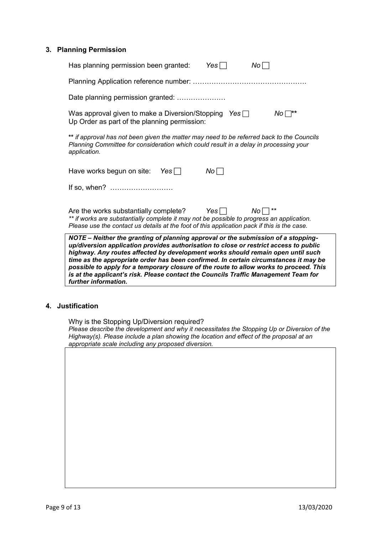#### **3. Planning Permission**

| NOTE – Neither the granting of planning approval or the submission of a stopping-<br>up/diversion application provides authorisation to close or restrict access to public<br>highway. Any routes affected by development works should remain open until such<br>time as the appropriate order has been confirmed. In certain circumstances it may be<br>possible to apply for a temporary closure of the route to allow works to proceed. This<br>is at the applicant's risk. Please contact the Councils Traffic Management Team for |  |  |  |
|----------------------------------------------------------------------------------------------------------------------------------------------------------------------------------------------------------------------------------------------------------------------------------------------------------------------------------------------------------------------------------------------------------------------------------------------------------------------------------------------------------------------------------------|--|--|--|
| Are the works substantially complete? Yes $\Box$<br>$No \square$ **<br>** if works are substantially complete it may not be possible to progress an application.<br>Please use the contact us details at the foot of this application pack if this is the case.                                                                                                                                                                                                                                                                        |  |  |  |
| Have works begun on site: Yes $\Box$<br>$No\Box$<br>If so, when?                                                                                                                                                                                                                                                                                                                                                                                                                                                                       |  |  |  |
| ** if approval has not been given the matter may need to be referred back to the Councils<br>Planning Committee for consideration which could result in a delay in processing your<br>application.                                                                                                                                                                                                                                                                                                                                     |  |  |  |
| Was approval given to make a Diversion/Stopping Yes $\Box$<br>$No \square^{\ast \ast}$<br>Up Order as part of the planning permission:                                                                                                                                                                                                                                                                                                                                                                                                 |  |  |  |
| Date planning permission granted:                                                                                                                                                                                                                                                                                                                                                                                                                                                                                                      |  |  |  |
|                                                                                                                                                                                                                                                                                                                                                                                                                                                                                                                                        |  |  |  |
| Yes $\Box$<br>No <sub>l</sub><br>Has planning permission been granted:                                                                                                                                                                                                                                                                                                                                                                                                                                                                 |  |  |  |

*further information.* 

## **4. Justification**

Why is the Stopping Up/Diversion required? *Please describe the development and why it necessitates the Stopping Up or Diversion of the Highway(s). Please include a plan showing the location and effect of the proposal at an appropriate scale including any proposed diversion.*

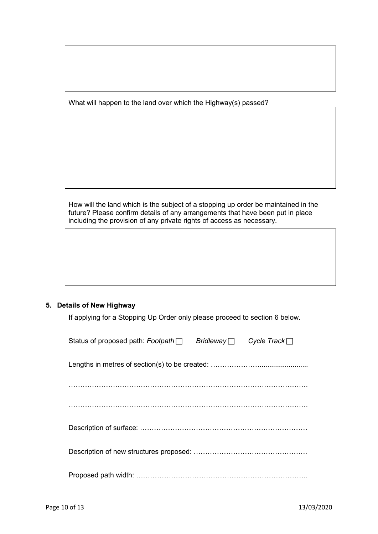What will happen to the land over which the Highway(s) passed?

How will the land which is the subject of a stopping up order be maintained in the future? Please confirm details of any arrangements that have been put in place including the provision of any private rights of access as necessary.

## **5. Details of New Highway**

If applying for a Stopping Up Order only please proceed to section 6 below.

| Status of proposed path: Footpath   Bridleway   Cycle Track |  |
|-------------------------------------------------------------|--|
|                                                             |  |
|                                                             |  |
|                                                             |  |
|                                                             |  |
|                                                             |  |
|                                                             |  |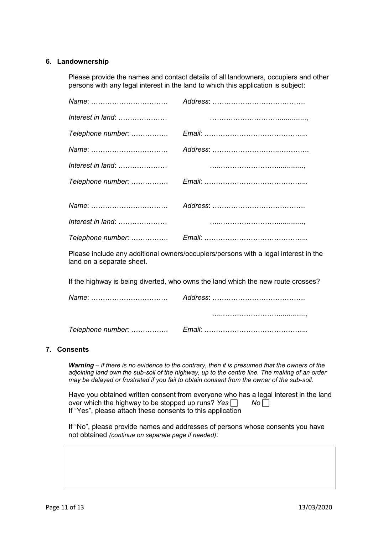## **6. Landownership**

Please provide the names and contact details of all landowners, occupiers and other persons with any legal interest in the land to which this application is subject:

| Name: |  |
|-------|--|
|       |  |
|       |  |
| Name: |  |
|       |  |
|       |  |
|       |  |

Please include any additional owners/occupiers/persons with a legal interest in the land on a separate sheet.

If the highway is being diverted, who owns the land which the new route crosses?

#### **7. Consents**

*Warning – if there is no evidence to the contrary, then it is presumed that the owners of the adjoining land own the sub-soil of the highway, up to the centre line. The making of an order may be delayed or frustrated if you fail to obtain consent from the owner of the sub-soil.*

Have you obtained written consent from everyone who has a legal interest in the land over which the highway to be stopped up runs? *Yes No* If "Yes", please attach these consents to this application

If "No", please provide names and addresses of persons whose consents you have not obtained *(continue on separate page if needed)*: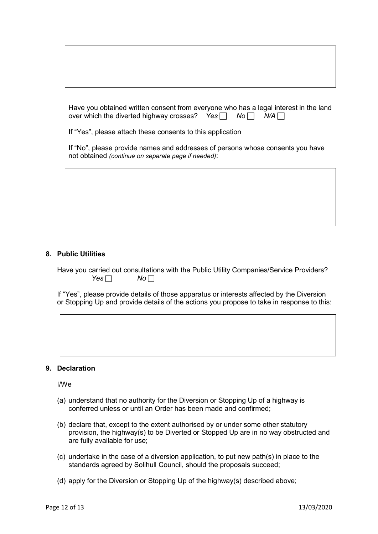Have you obtained written consent from everyone who has a legal interest in the land over which the diverted highway crosses? *Yes*  $\Box$  *No*  $\Box$  *N/A*  $\Box$ 

If "Yes", please attach these consents to this application

If "No", please provide names and addresses of persons whose consents you have not obtained *(continue on separate page if needed)*:

#### **8. Public Utilities**

Have you carried out consultations with the Public Utility Companies/Service Providers? *Yes No* <del>□</del>

If "Yes", please provide details of those apparatus or interests affected by the Diversion or Stopping Up and provide details of the actions you propose to take in response to this:

#### **9. Declaration**

I/We

- (a) understand that no authority for the Diversion or Stopping Up of a highway is conferred unless or until an Order has been made and confirmed;
- (b) declare that, except to the extent authorised by or under some other statutory provision, the highway(s) to be Diverted or Stopped Up are in no way obstructed and are fully available for use;
- (c) undertake in the case of a diversion application, to put new path(s) in place to the standards agreed by Solihull Council, should the proposals succeed;
- (d) apply for the Diversion or Stopping Up of the highway(s) described above;